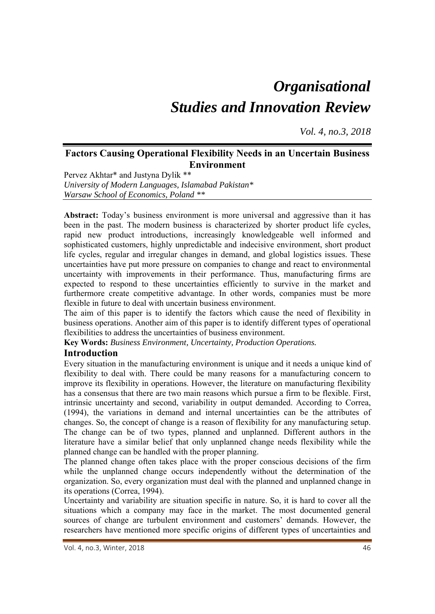# *Organisational Studies and Innovation Review*

*Vol. 4, no.3, 2018*

# **Factors Causing Operational Flexibility Needs in an Uncertain Business Environment**

Pervez Akhtar\* and Justyna Dylik \*\* *University of Modern Languages, Islamabad Pakistan\* Warsaw School of Economics, Poland \*\** 

**Abstract:** Today's business environment is more universal and aggressive than it has been in the past. The modern business is characterized by shorter product life cycles, rapid new product introductions, increasingly knowledgeable well informed and sophisticated customers, highly unpredictable and indecisive environment, short product life cycles, regular and irregular changes in demand, and global logistics issues. These uncertainties have put more pressure on companies to change and react to environmental uncertainty with improvements in their performance. Thus, manufacturing firms are expected to respond to these uncertainties efficiently to survive in the market and furthermore create competitive advantage. In other words, companies must be more flexible in future to deal with uncertain business environment.

The aim of this paper is to identify the factors which cause the need of flexibility in business operations. Another aim of this paper is to identify different types of operational flexibilities to address the uncertainties of business environment.

**Key Words:** *Business Environment, Uncertainty, Production Operations.* 

## **Introduction**

Every situation in the manufacturing environment is unique and it needs a unique kind of flexibility to deal with. There could be many reasons for a manufacturing concern to improve its flexibility in operations. However, the literature on manufacturing flexibility has a consensus that there are two main reasons which pursue a firm to be flexible. First, intrinsic uncertainty and second, variability in output demanded. According to Correa, (1994), the variations in demand and internal uncertainties can be the attributes of changes. So, the concept of change is a reason of flexibility for any manufacturing setup. The change can be of two types, planned and unplanned. Different authors in the literature have a similar belief that only unplanned change needs flexibility while the planned change can be handled with the proper planning.

The planned change often takes place with the proper conscious decisions of the firm while the unplanned change occurs independently without the determination of the organization. So, every organization must deal with the planned and unplanned change in its operations (Correa, 1994).

Uncertainty and variability are situation specific in nature. So, it is hard to cover all the situations which a company may face in the market. The most documented general sources of change are turbulent environment and customers' demands. However, the researchers have mentioned more specific origins of different types of uncertainties and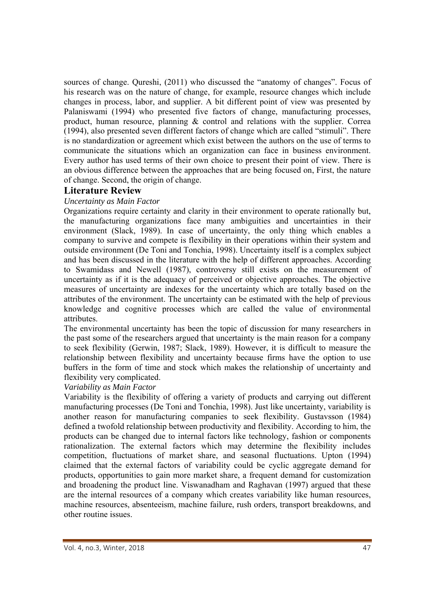sources of change. Qureshi, (2011) who discussed the "anatomy of changes". Focus of his research was on the nature of change, for example, resource changes which include changes in process, labor, and supplier. A bit different point of view was presented by Palaniswami (1994) who presented five factors of change, manufacturing processes, product, human resource, planning & control and relations with the supplier. Correa (1994), also presented seven different factors of change which are called "stimuli". There is no standardization or agreement which exist between the authors on the use of terms to communicate the situations which an organization can face in business environment. Every author has used terms of their own choice to present their point of view. There is an obvious difference between the approaches that are being focused on, First, the nature of change. Second, the origin of change.

## **Literature Review**

## *Uncertainty as Main Factor*

Organizations require certainty and clarity in their environment to operate rationally but, the manufacturing organizations face many ambiguities and uncertainties in their environment (Slack, 1989). In case of uncertainty, the only thing which enables a company to survive and compete is flexibility in their operations within their system and outside environment (De Toni and Tonchia, 1998). Uncertainty itself is a complex subject and has been discussed in the literature with the help of different approaches. According to Swamidass and Newell (1987), controversy still exists on the measurement of uncertainty as if it is the adequacy of perceived or objective approaches. The objective measures of uncertainty are indexes for the uncertainty which are totally based on the attributes of the environment. The uncertainty can be estimated with the help of previous knowledge and cognitive processes which are called the value of environmental attributes.

The environmental uncertainty has been the topic of discussion for many researchers in the past some of the researchers argued that uncertainty is the main reason for a company to seek flexibility (Gerwin, 1987; Slack, 1989). However, it is difficult to measure the relationship between flexibility and uncertainty because firms have the option to use buffers in the form of time and stock which makes the relationship of uncertainty and flexibility very complicated.

#### *Variability as Main Factor*

Variability is the flexibility of offering a variety of products and carrying out different manufacturing processes (De Toni and Tonchia, 1998). Just like uncertainty, variability is another reason for manufacturing companies to seek flexibility. Gustavsson (1984) defined a twofold relationship between productivity and flexibility. According to him, the products can be changed due to internal factors like technology, fashion or components rationalization. The external factors which may determine the flexibility includes competition, fluctuations of market share, and seasonal fluctuations. Upton (1994) claimed that the external factors of variability could be cyclic aggregate demand for products, opportunities to gain more market share, a frequent demand for customization and broadening the product line. Viswanadham and Raghavan (1997) argued that these are the internal resources of a company which creates variability like human resources, machine resources, absenteeism, machine failure, rush orders, transport breakdowns, and other routine issues.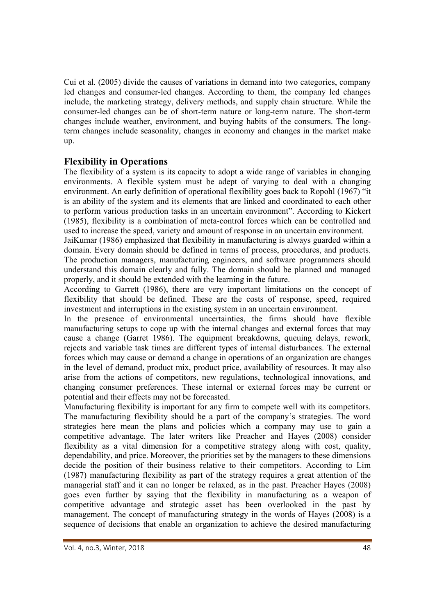Cui et al. (2005) divide the causes of variations in demand into two categories, company led changes and consumer-led changes. According to them, the company led changes include, the marketing strategy, delivery methods, and supply chain structure. While the consumer-led changes can be of short-term nature or long-term nature. The short-term changes include weather, environment, and buying habits of the consumers. The longterm changes include seasonality, changes in economy and changes in the market make up.

# **Flexibility in Operations**

The flexibility of a system is its capacity to adopt a wide range of variables in changing environments. A flexible system must be adept of varying to deal with a changing environment. An early definition of operational flexibility goes back to Ropohl (1967) "it is an ability of the system and its elements that are linked and coordinated to each other to perform various production tasks in an uncertain environment". According to Kickert (1985), flexibility is a combination of meta-control forces which can be controlled and used to increase the speed, variety and amount of response in an uncertain environment.

JaiKumar (1986) emphasized that flexibility in manufacturing is always guarded within a domain. Every domain should be defined in terms of process, procedures, and products. The production managers, manufacturing engineers, and software programmers should understand this domain clearly and fully. The domain should be planned and managed properly, and it should be extended with the learning in the future.

According to Garrett (1986), there are very important limitations on the concept of flexibility that should be defined. These are the costs of response, speed, required investment and interruptions in the existing system in an uncertain environment.

In the presence of environmental uncertainties, the firms should have flexible manufacturing setups to cope up with the internal changes and external forces that may cause a change (Garret 1986). The equipment breakdowns, queuing delays, rework, rejects and variable task times are different types of internal disturbances. The external forces which may cause or demand a change in operations of an organization are changes in the level of demand, product mix, product price, availability of resources. It may also arise from the actions of competitors, new regulations, technological innovations, and changing consumer preferences. These internal or external forces may be current or potential and their effects may not be forecasted.

Manufacturing flexibility is important for any firm to compete well with its competitors. The manufacturing flexibility should be a part of the company's strategies. The word strategies here mean the plans and policies which a company may use to gain a competitive advantage. The later writers like Preacher and Hayes (2008) consider flexibility as a vital dimension for a competitive strategy along with cost, quality, dependability, and price. Moreover, the priorities set by the managers to these dimensions decide the position of their business relative to their competitors. According to Lim (1987) manufacturing flexibility as part of the strategy requires a great attention of the managerial staff and it can no longer be relaxed, as in the past. Preacher Hayes (2008) goes even further by saying that the flexibility in manufacturing as a weapon of competitive advantage and strategic asset has been overlooked in the past by management. The concept of manufacturing strategy in the words of Hayes (2008) is a sequence of decisions that enable an organization to achieve the desired manufacturing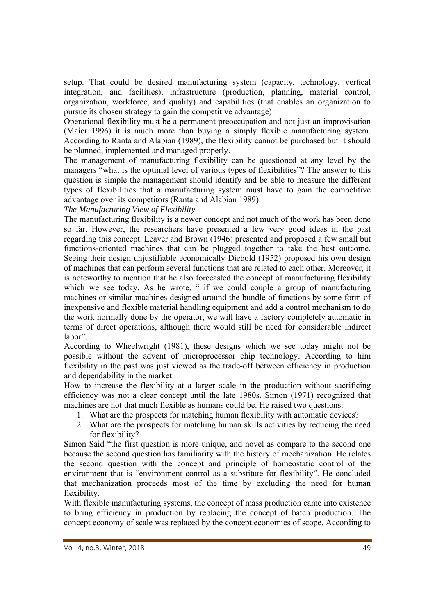setup. That could be desired manufacturing system (capacity, technology, vertical integration, and facilities), infrastructure (production, planning, material control, organization, workforce, and quality) and capabilities (that enables an organization to pursue its chosen strategy to gain the competitive advantage)

Operational flexibility must be a permanent preoccupation and not just an improvisation (Maier 1996) it is much more than buying a simply flexible manufacturing system. According to Ranta and Alabian (1989), the flexibility cannot be purchased but it should be planned, implemented and managed properly.

The management of manufacturing flexibility can be questioned at any level by the managers "what is the optimal level of various types of flexibilities"? The answer to this question is simple the management should identify and be able to measure the different types of flexibilities that a manufacturing system must have to gain the competitive advantage over its competitors (Ranta and Alabian 1989).

*The Manufacturing View of Flexibility* 

The manufacturing flexibility is a newer concept and not much of the work has been done so far. However, the researchers have presented a few very good ideas in the past regarding this concept. Leaver and Brown (1946) presented and proposed a few small but functions-oriented machines that can be plugged together to take the best outcome. Seeing their design unjustifiable economically Diebold (1952) proposed his own design of machines that can perform several functions that are related to each other. Moreover, it is noteworthy to mention that he also forecasted the concept of manufacturing flexibility which we see today. As he wrote, " if we could couple a group of manufacturing machines or similar machines designed around the bundle of functions by some form of inexpensive and flexible material handling equipment and add a control mechanism to do the work normally done by the operator, we will have a factory completely automatic in terms of direct operations, although there would still be need for considerable indirect labor".

According to Wheelwright (1981), these designs which we see today might not be possible without the advent of microprocessor chip technology. According to him flexibility in the past was just viewed as the trade-off between efficiency in production and dependability in the market.

How to increase the flexibility at a larger scale in the production without sacrificing efficiency was not a clear concept until the late 1980s. Simon (1971) recognized that machines are not that much flexible as humans could be. He raised two questions:

- 1. What are the prospects for matching human flexibility with automatic devices?
- 2. What are the prospects for matching human skills activities by reducing the need for flexibility?

Simon Said "the first question is more unique, and novel as compare to the second one because the second question has familiarity with the history of mechanization. He relates the second question with the concept and principle of homeostatic control of the environment that is "environment control as a substitute for flexibility". He concluded that mechanization proceeds most of the time by excluding the need for human flexibility.

With flexible manufacturing systems, the concept of mass production came into existence to bring efficiency in production by replacing the concept of batch production. The concept economy of scale was replaced by the concept economies of scope. According to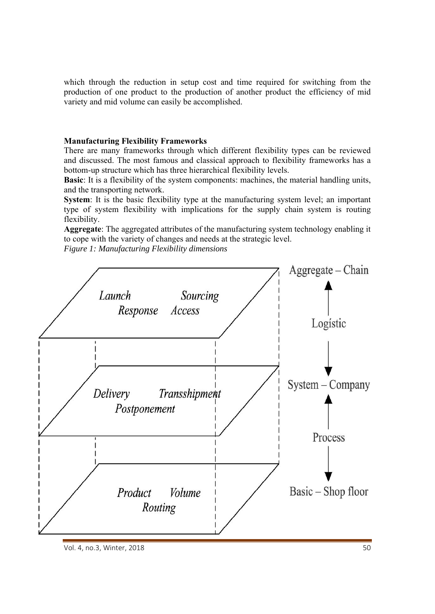which through the reduction in setup cost and time required for switching from the production of one product to the production of another product the efficiency of mid variety and mid volume can easily be accomplished.

#### **Manufacturing Flexibility Frameworks**

There are many frameworks through which different flexibility types can be reviewed and discussed. The most famous and classical approach to flexibility frameworks has a bottom-up structure which has three hierarchical flexibility levels.

**Basic**: It is a flexibility of the system components: machines, the material handling units, and the transporting network.

**System**: It is the basic flexibility type at the manufacturing system level; an important type of system flexibility with implications for the supply chain system is routing flexibility.

**Aggregate**: The aggregated attributes of the manufacturing system technology enabling it to cope with the variety of changes and needs at the strategic level.

*Figure 1: Manufacturing Flexibility dimensions* 



Vol. 4, no.3, Winter, 2018 50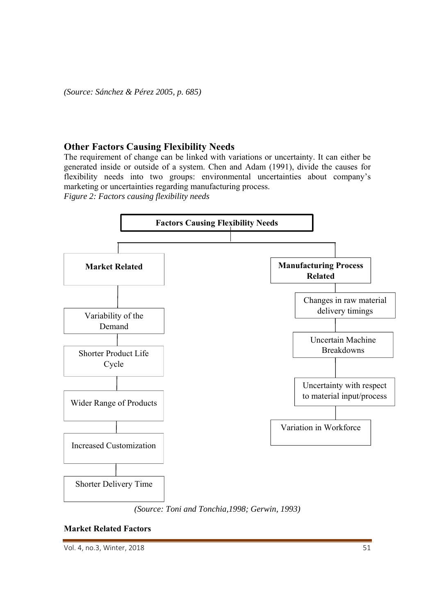*(Source: Sánchez & Pérez 2005, p. 685)* 

## **Other Factors Causing Flexibility Needs**

The requirement of change can be linked with variations or uncertainty. It can either be generated inside or outside of a system. Chen and Adam (1991), divide the causes for flexibility needs into two groups: environmental uncertainties about company's marketing or uncertainties regarding manufacturing process. *Figure 2: Factors causing flexibility needs* 





#### **Market Related Factors**

Vol. 4, no.3, Winter, 2018  **51**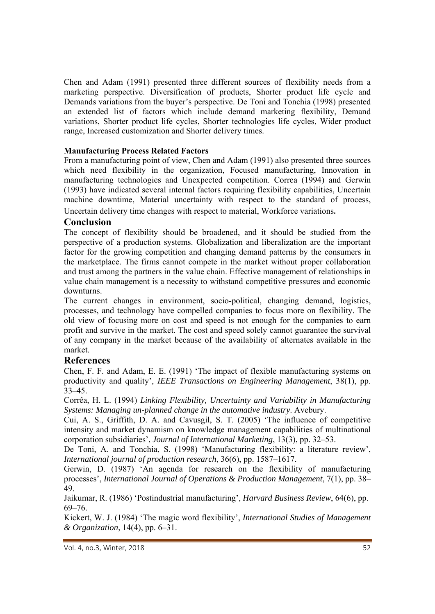Chen and Adam (1991) presented three different sources of flexibility needs from a marketing perspective. Diversification of products, Shorter product life cycle and Demands variations from the buyer's perspective. De Toni and Tonchia (1998) presented an extended list of factors which include demand marketing flexibility, Demand variations, Shorter product life cycles, Shorter technologies life cycles, Wider product range, Increased customization and Shorter delivery times.

## **Manufacturing Process Related Factors**

From a manufacturing point of view, Chen and Adam (1991) also presented three sources which need flexibility in the organization, Focused manufacturing, Innovation in manufacturing technologies and Unexpected competition. Correa (1994) and Gerwin (1993) have indicated several internal factors requiring flexibility capabilities, Uncertain machine downtime, Material uncertainty with respect to the standard of process, Uncertain delivery time changes with respect to material, Workforce variations.

## **Conclusion**

The concept of flexibility should be broadened, and it should be studied from the perspective of a production systems. Globalization and liberalization are the important factor for the growing competition and changing demand patterns by the consumers in the marketplace. The firms cannot compete in the market without proper collaboration and trust among the partners in the value chain. Effective management of relationships in value chain management is a necessity to withstand competitive pressures and economic downturns.

The current changes in environment, socio-political, changing demand, logistics, processes, and technology have compelled companies to focus more on flexibility. The old view of focusing more on cost and speed is not enough for the companies to earn profit and survive in the market. The cost and speed solely cannot guarantee the survival of any company in the market because of the availability of alternates available in the market.

## **References**

Chen, F. F. and Adam, E. E. (1991) 'The impact of flexible manufacturing systems on productivity and quality', *IEEE Transactions on Engineering Management*, 38(1), pp. 33–45.

Corrêa, H. L. (1994) *Linking Flexibility, Uncertainty and Variability in Manufacturing Systems: Managing un-planned change in the automative industry*. Avebury.

Cui, A. S., Griffith, D. A. and Cavusgil, S. T. (2005) 'The influence of competitive intensity and market dynamism on knowledge management capabilities of multinational corporation subsidiaries', *Journal of International Marketing*, 13(3), pp. 32–53.

De Toni, A. and Tonchia, S. (1998) 'Manufacturing flexibility: a literature review', *International journal of production research*, 36(6), pp. 1587–1617.

Gerwin, D. (1987) 'An agenda for research on the flexibility of manufacturing processes', *International Journal of Operations & Production Management*, 7(1), pp. 38– 49.

Jaikumar, R. (1986) 'Postindustrial manufacturing', *Harvard Business Review*, 64(6), pp. 69–76.

Kickert, W. J. (1984) 'The magic word flexibility', *International Studies of Management & Organization*, 14(4), pp. 6–31.